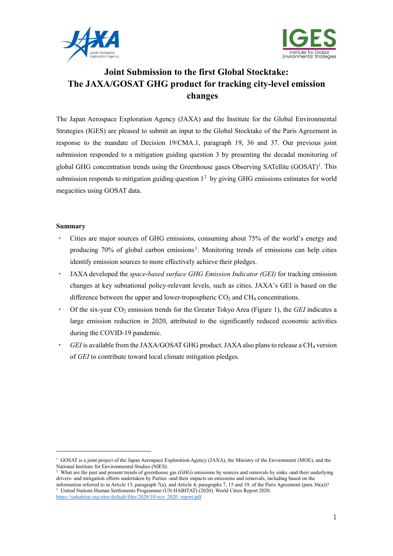



# **Joint Submission to the first Global Stocktake: The JAXA/GOSAT GHG product for tracking city-level emission changes**

The Japan Aerospace Exploration Agency (JAXA) and the Institute for the Global Environmental Strategies (IGES) are pleased to submit an input to the Global Stocktake of the Paris Agreement in response to the mandate of Decision 19/CMA.1, paragraph 19, 36 and 37. Our previous joint submission responded to a mitigation guiding question 3 by presenting the decadal monitoring of global GHG concentration trends using the Greenhouse gases Observing SATellite  $(GOSAT)^{1}$ . This submission responds to mitigation guiding question  $1<sup>2</sup>$  $1<sup>2</sup>$  $1<sup>2</sup>$  by giving GHG emissions estimates for world megacities using GOSAT data.

## **Summary**

- Cities are major sources of GHG emissions, consuming about 75% of the world's energy and producing 70% of global carbon emissions<sup>[3](#page-0-2)</sup>. Monitoring trends of emissions can help cities identify emission sources to more effectively achieve their pledges.
- ・ JAXA developed the *space-based surface GHG Emission Indicator (GEI)* for tracking emission changes at key subnational policy-relevant levels, such as cities. JAXA's GEI is based on the difference between the upper and lower-tropospheric  $CO<sub>2</sub>$  and  $CH<sub>4</sub>$  concentrations.
- ・ Of the six-year CO2 emission trends for the Greater Tokyo Area (Figure 1), the *GEI* indicates a large emission reduction in 2020, attributed to the significantly reduced economic activities during the COVID-19 pandemic.
- GEI is available from the JAXA/GOSAT GHG product. JAXA also plans to release a CH<sub>4</sub> version of *GEI* to contribute toward local climate mitigation pledges.

<span id="page-0-2"></span>[https://unhabitat.org/sites/default/files/2020/10/wcr\\_2020\\_report.pdf](https://unhabitat.org/sites/default/files/2020/10/wcr_2020_report.pdf)

<span id="page-0-0"></span> $1$  GOSAT is a joint project of the Japan Aerospace Exploration Agency (JAXA), the Ministry of the Environment (MOE), and the National Institute for Environmental Studies (NIES).

<span id="page-0-1"></span><sup>&</sup>lt;sup>2</sup> What are the past and present trends of greenhouse gas (GHG) emissions by sources and removals by sinks -and their underlying drivers- and mitigation efforts undertaken by Parties -and their impacts on emissions and removals, including based on the information referred to in Article 13, paragraph 7(a), and Article 4, paragraphs 7, 15 and 19, of the Paris Agreement (para 36(a))? <sup>3</sup> United Nations Human Settlements Programme (UN HABITAT) (2020). World Cities Report 2020.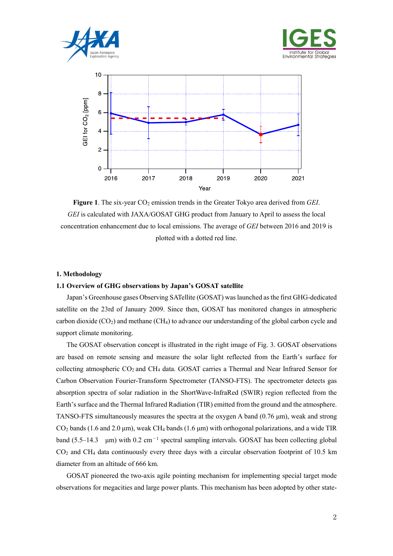





Figure 1. The six-year CO<sub>2</sub> emission trends in the Greater Tokyo area derived from *GEI*. *GEI* is calculated with JAXA/GOSAT GHG product from January to April to assess the local concentration enhancement due to local emissions. The average of *GEI* between 2016 and 2019 is plotted with a dotted red line.

#### **1. Methodology**

## **1.1 Overview of GHG observations by Japan's GOSAT satellite**

Japan's Greenhouse gases Observing SATellite (GOSAT) was launched as the first GHG-dedicated satellite on the 23rd of January 2009. Since then, GOSAT has monitored changes in atmospheric carbon dioxide  $(CO_2)$  and methane  $(CH_4)$  to advance our understanding of the global carbon cycle and support climate monitoring.

The GOSAT observation concept is illustrated in the right image of Fig. 3. GOSAT observations are based on remote sensing and measure the solar light reflected from the Earth's surface for collecting atmospheric CO2 and CH4 data. GOSAT carries a Thermal and Near Infrared Sensor for Carbon Observation Fourier-Transform Spectrometer (TANSO-FTS). The spectrometer detects gas absorption spectra of solar radiation in the ShortWave-InfraRed (SWIR) region reflected from the Earth's surface and the Thermal Infrared Radiation (TIR) emitted from the ground and the atmosphere. TANSO-FTS simultaneously measures the spectra at the oxygen A band (0.76 μm), weak and strong  $CO<sub>2</sub>$  bands (1.6 and 2.0 µm), weak CH<sub>4</sub> bands (1.6 µm) with orthogonal polarizations, and a wide TIR band (5.5–14.3 μm) with 0.2 cm<sup>−</sup><sup>1</sup> spectral sampling intervals. GOSAT has been collecting global  $CO<sub>2</sub>$  and CH<sub>4</sub> data continuously every three days with a circular observation footprint of 10.5 km diameter from an altitude of 666 km.

GOSAT pioneered the two-axis agile pointing mechanism for implementing special target mode observations for megacities and large power plants. This mechanism has been adopted by other state-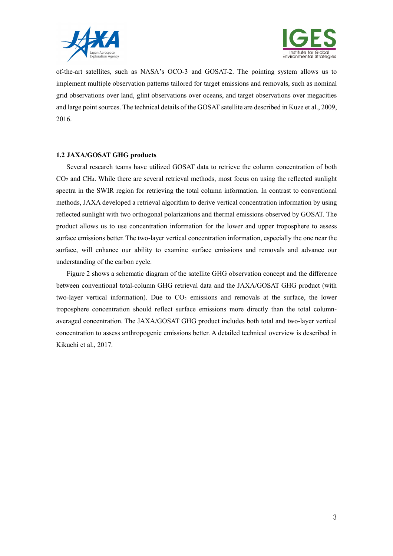



of-the-art satellites, such as NASA's OCO-3 and GOSAT-2. The pointing system allows us to implement multiple observation patterns tailored for target emissions and removals, such as nominal grid observations over land, glint observations over oceans, and target observations over megacities and large point sources. The technical details of the GOSAT satellite are described in Kuze et al., 2009, 2016.

### **1.2 JAXA/GOSAT GHG products**

Several research teams have utilized GOSAT data to retrieve the column concentration of both CO2 and CH4. While there are several retrieval methods, most focus on using the reflected sunlight spectra in the SWIR region for retrieving the total column information. In contrast to conventional methods, JAXA developed a retrieval algorithm to derive vertical concentration information by using reflected sunlight with two orthogonal polarizations and thermal emissions observed by GOSAT. The product allows us to use concentration information for the lower and upper troposphere to assess surface emissions better. The two-layer vertical concentration information, especially the one near the surface, will enhance our ability to examine surface emissions and removals and advance our understanding of the carbon cycle.

Figure 2 shows a schematic diagram of the satellite GHG observation concept and the difference between conventional total-column GHG retrieval data and the JAXA/GOSAT GHG product (with two-layer vertical information). Due to  $CO<sub>2</sub>$  emissions and removals at the surface, the lower troposphere concentration should reflect surface emissions more directly than the total columnaveraged concentration. The JAXA/GOSAT GHG product includes both total and two-layer vertical concentration to assess anthropogenic emissions better. A detailed technical overview is described in Kikuchi et al., 2017.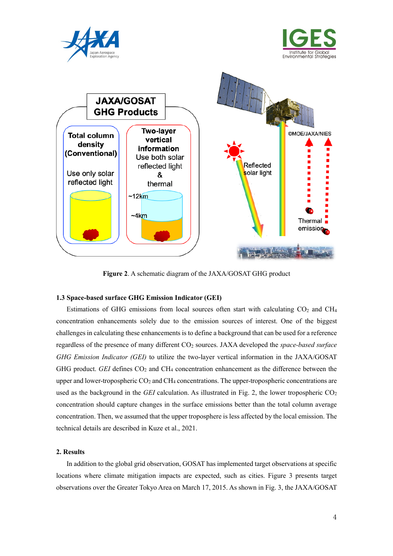





**Figure 2**. A schematic diagram of the JAXA/GOSAT GHG product

### **1.3 Space-based surface GHG Emission Indicator (GEI)**

Estimations of GHG emissions from local sources often start with calculating  $CO<sub>2</sub>$  and  $CH<sub>4</sub>$ concentration enhancements solely due to the emission sources of interest. One of the biggest challenges in calculating these enhancements is to define a background that can be used for a reference regardless of the presence of many different CO<sub>2</sub> sources. JAXA developed the *space-based surface GHG Emission Indicator (GEI)* to utilize the two-layer vertical information in the JAXA/GOSAT GHG product. *GEI* defines CO<sub>2</sub> and CH<sub>4</sub> concentration enhancement as the difference between the upper and lower-tropospheric  $CO<sub>2</sub>$  and  $CH<sub>4</sub>$  concentrations. The upper-tropospheric concentrations are used as the background in the *GEI* calculation. As illustrated in Fig. 2, the lower tropospheric  $CO<sub>2</sub>$ concentration should capture changes in the surface emissions better than the total column average concentration. Then, we assumed that the upper troposphere is less affected by the local emission. The technical details are described in Kuze et al., 2021.

## **2. Results**

In addition to the global grid observation, GOSAT has implemented target observations at specific locations where climate mitigation impacts are expected, such as cities. Figure 3 presents target observations over the Greater Tokyo Area on March 17, 2015. As shown in Fig. 3, the JAXA/GOSAT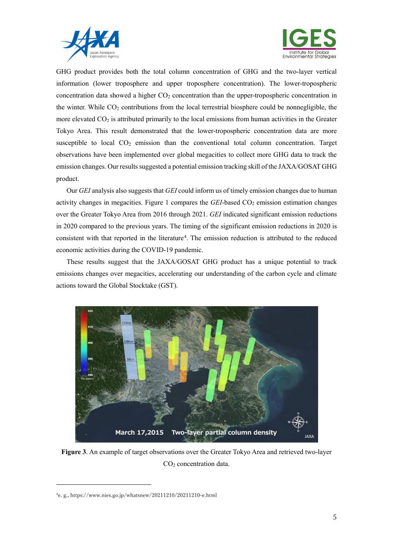



GHG product provides both the total column concentration of GHG and the two-layer vertical information (lower troposphere and upper troposphere concentration). The lower-tropospheric concentration data showed a higher  $CO<sub>2</sub>$  concentration than the upper-tropospheric concentration in the winter. While CO<sub>2</sub> contributions from the local terrestrial biosphere could be nonnegligible, the more elevated  $CO<sub>2</sub>$  is attributed primarily to the local emissions from human activities in the Greater Tokyo Area. This result demonstrated that the lower-tropospheric concentration data are more susceptible to local CO2 emission than the conventional total column concentration. Target observations have been implemented over global megacities to collect more GHG data to track the emission changes. Our results suggested a potential emission tracking skill of the JAXA/GOSAT GHG product.

Our *GEI* analysis also suggests that *GEI* could inform us of timely emission changes due to human activity changes in megacities. Figure 1 compares the *GEI*-based CO<sub>2</sub> emission estimation changes over the Greater Tokyo Area from 2016 through 2021. *GEI* indicated significant emission reductions in 2020 compared to the previous years. The timing of the significant emission reductions in 2020 is consistent with that reported in the literature<sup>[4](#page-4-0)</sup>. The emission reduction is attributed to the reduced economic activities during the COVID-19 pandemic.

These results suggest that the JAXA/GOSAT GHG product has a unique potential to track emissions changes over megacities, accelerating our understanding of the carbon cycle and climate actions toward the Global Stocktake (GST).



**Figure 3**. An example of target observations over the Greater Tokyo Area and retrieved two-layer CO2 concentration data.

-

<span id="page-4-0"></span><sup>4</sup> e. g., https://www.nies.go.jp/whatsnew/20211210/20211210-e.html